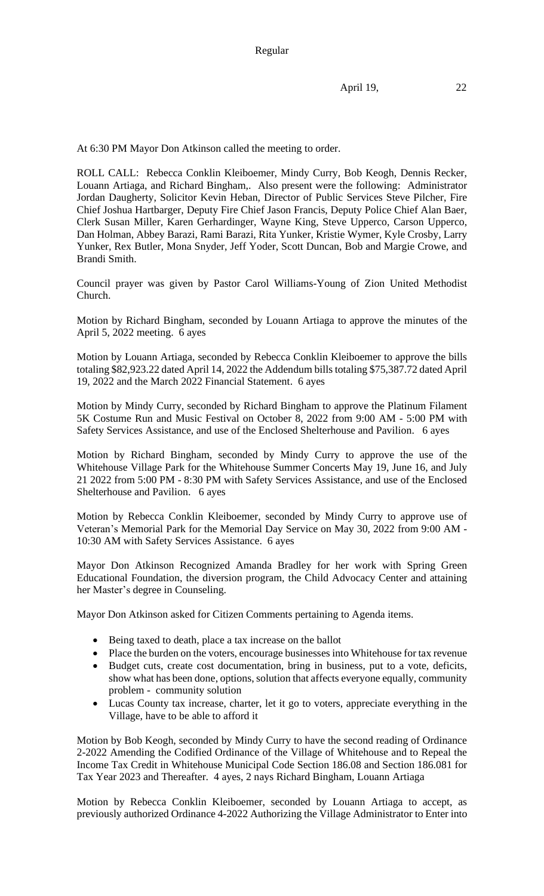April 19, 22

At 6:30 PM Mayor Don Atkinson called the meeting to order.

ROLL CALL: Rebecca Conklin Kleiboemer, Mindy Curry, Bob Keogh, Dennis Recker, Louann Artiaga, and Richard Bingham,. Also present were the following: Administrator Jordan Daugherty, Solicitor Kevin Heban, Director of Public Services Steve Pilcher, Fire Chief Joshua Hartbarger, Deputy Fire Chief Jason Francis, Deputy Police Chief Alan Baer, Clerk Susan Miller, Karen Gerhardinger, Wayne King, Steve Upperco, Carson Upperco, Dan Holman, Abbey Barazi, Rami Barazi, Rita Yunker, Kristie Wymer, Kyle Crosby, Larry Yunker, Rex Butler, Mona Snyder, Jeff Yoder, Scott Duncan, Bob and Margie Crowe, and Brandi Smith.

Council prayer was given by Pastor Carol Williams-Young of Zion United Methodist Church.

Motion by Richard Bingham, seconded by Louann Artiaga to approve the minutes of the April 5, 2022 meeting. 6 ayes

Motion by Louann Artiaga, seconded by Rebecca Conklin Kleiboemer to approve the bills totaling \$82,923.22 dated April 14, 2022 the Addendum bills totaling \$75,387.72 dated April 19, 2022 and the March 2022 Financial Statement. 6 ayes

Motion by Mindy Curry, seconded by Richard Bingham to approve the Platinum Filament 5K Costume Run and Music Festival on October 8, 2022 from 9:00 AM - 5:00 PM with Safety Services Assistance, and use of the Enclosed Shelterhouse and Pavilion. 6 ayes

Motion by Richard Bingham, seconded by Mindy Curry to approve the use of the Whitehouse Village Park for the Whitehouse Summer Concerts May 19, June 16, and July 21 2022 from 5:00 PM - 8:30 PM with Safety Services Assistance, and use of the Enclosed Shelterhouse and Pavilion. 6 ayes

Motion by Rebecca Conklin Kleiboemer, seconded by Mindy Curry to approve use of Veteran's Memorial Park for the Memorial Day Service on May 30, 2022 from 9:00 AM - 10:30 AM with Safety Services Assistance. 6 ayes

Mayor Don Atkinson Recognized Amanda Bradley for her work with Spring Green Educational Foundation, the diversion program, the Child Advocacy Center and attaining her Master's degree in Counseling.

Mayor Don Atkinson asked for Citizen Comments pertaining to Agenda items.

- Being taxed to death, place a tax increase on the ballot
- Place the burden on the voters, encourage businesses into Whitehouse for tax revenue
- Budget cuts, create cost documentation, bring in business, put to a vote, deficits, show what has been done, options, solution that affects everyone equally, community problem - community solution
- Lucas County tax increase, charter, let it go to voters, appreciate everything in the Village, have to be able to afford it

Motion by Bob Keogh, seconded by Mindy Curry to have the second reading of Ordinance 2-2022 Amending the Codified Ordinance of the Village of Whitehouse and to Repeal the Income Tax Credit in Whitehouse Municipal Code Section 186.08 and Section 186.081 for Tax Year 2023 and Thereafter. 4 ayes, 2 nays Richard Bingham, Louann Artiaga

Motion by Rebecca Conklin Kleiboemer, seconded by Louann Artiaga to accept, as previously authorized Ordinance 4-2022 Authorizing the Village Administrator to Enter into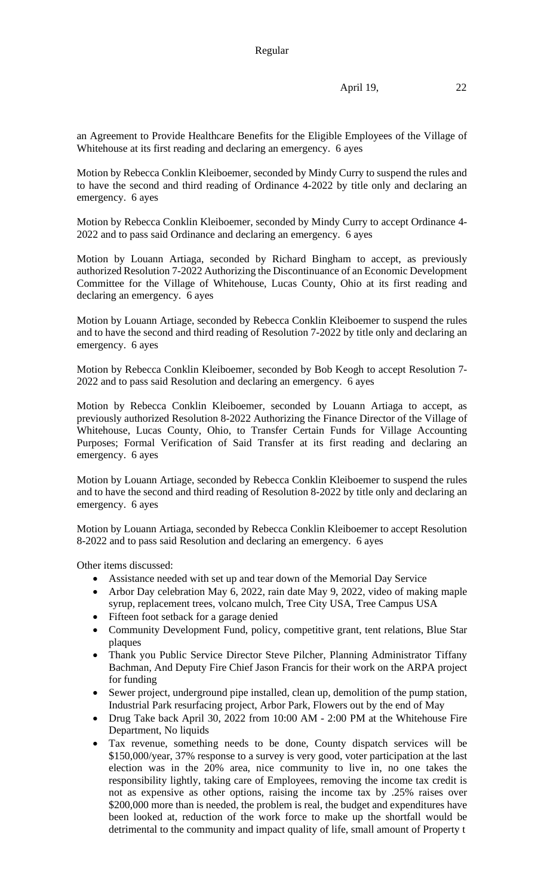an Agreement to Provide Healthcare Benefits for the Eligible Employees of the Village of Whitehouse at its first reading and declaring an emergency. 6 ayes

Motion by Rebecca Conklin Kleiboemer, seconded by Mindy Curry to suspend the rules and to have the second and third reading of Ordinance 4-2022 by title only and declaring an emergency. 6 ayes

Motion by Rebecca Conklin Kleiboemer, seconded by Mindy Curry to accept Ordinance 4- 2022 and to pass said Ordinance and declaring an emergency. 6 ayes

Motion by Louann Artiaga, seconded by Richard Bingham to accept, as previously authorized Resolution 7-2022 Authorizing the Discontinuance of an Economic Development Committee for the Village of Whitehouse, Lucas County, Ohio at its first reading and declaring an emergency. 6 ayes

Motion by Louann Artiage, seconded by Rebecca Conklin Kleiboemer to suspend the rules and to have the second and third reading of Resolution 7-2022 by title only and declaring an emergency. 6 ayes

Motion by Rebecca Conklin Kleiboemer, seconded by Bob Keogh to accept Resolution 7- 2022 and to pass said Resolution and declaring an emergency. 6 ayes

Motion by Rebecca Conklin Kleiboemer, seconded by Louann Artiaga to accept, as previously authorized Resolution 8-2022 Authorizing the Finance Director of the Village of Whitehouse, Lucas County, Ohio, to Transfer Certain Funds for Village Accounting Purposes; Formal Verification of Said Transfer at its first reading and declaring an emergency. 6 ayes

Motion by Louann Artiage, seconded by Rebecca Conklin Kleiboemer to suspend the rules and to have the second and third reading of Resolution 8-2022 by title only and declaring an emergency. 6 ayes

Motion by Louann Artiaga, seconded by Rebecca Conklin Kleiboemer to accept Resolution 8-2022 and to pass said Resolution and declaring an emergency. 6 ayes

Other items discussed:

- Assistance needed with set up and tear down of the Memorial Day Service
- Arbor Day celebration May 6, 2022, rain date May 9, 2022, video of making maple syrup, replacement trees, volcano mulch, Tree City USA, Tree Campus USA
- Fifteen foot setback for a garage denied
- Community Development Fund, policy, competitive grant, tent relations, Blue Star plaques
- Thank you Public Service Director Steve Pilcher, Planning Administrator Tiffany Bachman, And Deputy Fire Chief Jason Francis for their work on the ARPA project for funding
- Sewer project, underground pipe installed, clean up, demolition of the pump station, Industrial Park resurfacing project, Arbor Park, Flowers out by the end of May
- Drug Take back April 30, 2022 from 10:00 AM 2:00 PM at the Whitehouse Fire Department, No liquids
- Tax revenue, something needs to be done, County dispatch services will be \$150,000/year, 37% response to a survey is very good, voter participation at the last election was in the 20% area, nice community to live in, no one takes the responsibility lightly, taking care of Employees, removing the income tax credit is not as expensive as other options, raising the income tax by .25% raises over \$200,000 more than is needed, the problem is real, the budget and expenditures have been looked at, reduction of the work force to make up the shortfall would be detrimental to the community and impact quality of life, small amount of Property t